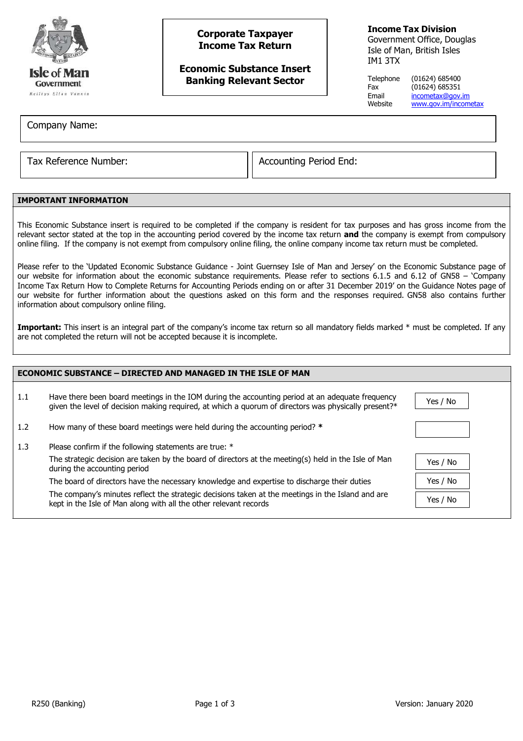

# **Corporate Taxpayer Income Tax Return**

**Economic Substance Insert Banking Relevant Sector**

**Income Tax Division**

Government Office, Douglas Isle of Man, British Isles IM1 3TX

Telephone (01624) 685400 Fax (01624) 685351 Email [incometax@gov.im](mailto:incometax@gov.im)<br>Website www.gov.im/incom [www.gov.im/incometax](http://www.gov.im/incometax)

Company Name:

Tax Reference Number:  $\vert\vert$  Accounting Period End:

# **IMPORTANT INFORMATION**

This Economic Substance insert is required to be completed if the company is resident for tax purposes and has gross income from the relevant sector stated at the top in the accounting period covered by the income tax return **and** the company is exempt from compulsory online filing. If the company is not exempt from compulsory online filing, the online company income tax return must be completed.

Please refer to the 'Updated Economic Substance Guidance - Joint Guernsey Isle of Man and Jersey' on the Economic Substance page of our website for information about the economic substance requirements. Please refer to sections 6.1.5 and 6.12 of GN58 – 'Company Income Tax Return How to Complete Returns for Accounting Periods ending on or after 31 December 2019' on the Guidance Notes page of our website for further information about the questions asked on this form and the responses required. GN58 also contains further information about compulsory online filing.

Important: This insert is an integral part of the company's income tax return so all mandatory fields marked \* must be completed. If any are not completed the return will not be accepted because it is incomplete.

| <b>ECONOMIC SUBSTANCE – DIRECTED AND MANAGED IN THE ISLE OF MAN</b> |                                                                                                                                                                                                         |          |  |  |
|---------------------------------------------------------------------|---------------------------------------------------------------------------------------------------------------------------------------------------------------------------------------------------------|----------|--|--|
| 1.1                                                                 | Have there been board meetings in the IOM during the accounting period at an adequate frequency<br>given the level of decision making required, at which a quorum of directors was physically present?* | Yes / No |  |  |
| 1.2                                                                 | How many of these board meetings were held during the accounting period? *                                                                                                                              |          |  |  |
| 1.3                                                                 | Please confirm if the following statements are true: *                                                                                                                                                  |          |  |  |
|                                                                     | The strategic decision are taken by the board of directors at the meeting(s) held in the Isle of Man<br>during the accounting period                                                                    | Yes / No |  |  |
|                                                                     | The board of directors have the necessary knowledge and expertise to discharge their duties                                                                                                             | Yes / No |  |  |
|                                                                     | The company's minutes reflect the strategic decisions taken at the meetings in the Island and are<br>kept in the Isle of Man along with all the other relevant records                                  | Yes / No |  |  |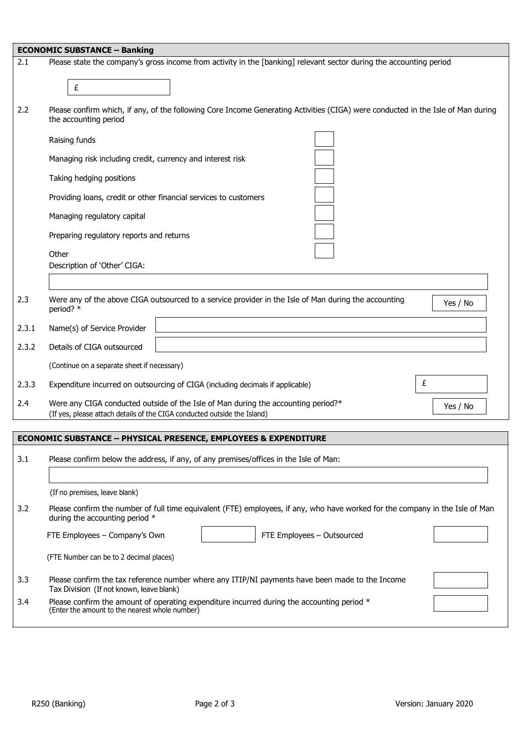|                                                                            | <b>ECONOMIC SUBSTANCE - Banking</b>                                                                                                                                       |  |  |  |  |
|----------------------------------------------------------------------------|---------------------------------------------------------------------------------------------------------------------------------------------------------------------------|--|--|--|--|
| 2.1                                                                        | Please state the company's gross income from activity in the [banking] relevant sector during the accounting period                                                       |  |  |  |  |
|                                                                            | £                                                                                                                                                                         |  |  |  |  |
| 2.2                                                                        | Please confirm which, if any, of the following Core Income Generating Activities (CIGA) were conducted in the Isle of Man during<br>the accounting period                 |  |  |  |  |
|                                                                            | Raising funds                                                                                                                                                             |  |  |  |  |
|                                                                            | Managing risk including credit, currency and interest risk                                                                                                                |  |  |  |  |
|                                                                            | Taking hedging positions                                                                                                                                                  |  |  |  |  |
|                                                                            | Providing loans, credit or other financial services to customers                                                                                                          |  |  |  |  |
|                                                                            | Managing regulatory capital                                                                                                                                               |  |  |  |  |
|                                                                            | Preparing regulatory reports and returns                                                                                                                                  |  |  |  |  |
|                                                                            | Other<br>Description of 'Other' CIGA:                                                                                                                                     |  |  |  |  |
|                                                                            |                                                                                                                                                                           |  |  |  |  |
| 2.3                                                                        | Were any of the above CIGA outsourced to a service provider in the Isle of Man during the accounting<br>Yes / No<br>period? *                                             |  |  |  |  |
| 2.3.1                                                                      | Name(s) of Service Provider                                                                                                                                               |  |  |  |  |
| 2.3.2                                                                      | Details of CIGA outsourced                                                                                                                                                |  |  |  |  |
|                                                                            | (Continue on a separate sheet if necessary)                                                                                                                               |  |  |  |  |
| 2.3.3                                                                      | £<br>Expenditure incurred on outsourcing of CIGA (including decimals if applicable)                                                                                       |  |  |  |  |
| 2.4                                                                        | Were any CIGA conducted outside of the Isle of Man during the accounting period?*<br>Yes / No<br>(If yes, please attach details of the CIGA conducted outside the Island) |  |  |  |  |
| <b>ECONOMIC SUBSTANCE - PHYSICAL PRESENCE, EMPLOYEES &amp; EXPENDITURE</b> |                                                                                                                                                                           |  |  |  |  |
|                                                                            |                                                                                                                                                                           |  |  |  |  |
| 3.1                                                                        | Please confirm below the address, if any, of any premises/offices in the Isle of Man:                                                                                     |  |  |  |  |
|                                                                            | (If no premises, leave blank)                                                                                                                                             |  |  |  |  |
| 3.2                                                                        | Please confirm the number of full time equivalent (FTE) employees, if any, who have worked for the company in the Isle of Man<br>during the accounting period *           |  |  |  |  |
|                                                                            | FTE Employees - Company's Own<br>FTE Employees - Outsourced                                                                                                               |  |  |  |  |
|                                                                            | (FTE Number can be to 2 decimal places)                                                                                                                                   |  |  |  |  |
| 3.3                                                                        | Please confirm the tax reference number where any ITIP/NI payments have been made to the Income<br>Tax Division (If not known, leave blank)                               |  |  |  |  |
| 3.4                                                                        | Please confirm the amount of operating expenditure incurred during the accounting period *<br>(Enter the amount to the nearest whole number)                              |  |  |  |  |